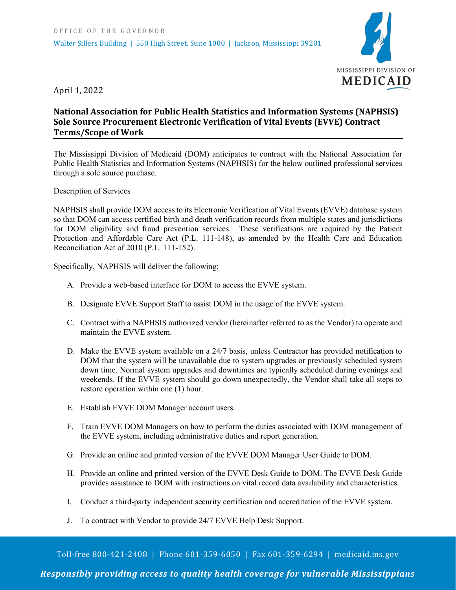

April 1, 2022

## **National Association for Public Health Statistics and Information Systems (NAPHSIS) Sole Source Procurement Electronic Verification of Vital Events (EVVE) Contract Terms/Scope of Work**

The Mississippi Division of Medicaid (DOM) anticipates to contract with the National Association for Public Health Statistics and Information Systems (NAPHSIS) for the below outlined professional services through a sole source purchase.

## Description of Services

NAPHSIS shall provide DOM access to its Electronic Verification of Vital Events (EVVE) database system so that DOM can access certified birth and death verification records from multiple states and jurisdictions for DOM eligibility and fraud prevention services. These verifications are required by the Patient Protection and Affordable Care Act (P.L. 111-148), as amended by the Health Care and Education Reconciliation Act of 2010 (P.L. 111-152).

Specifically, NAPHSIS will deliver the following:

- A. Provide a web-based interface for DOM to access the EVVE system.
- B. Designate EVVE Support Staff to assist DOM in the usage of the EVVE system.
- C. Contract with a NAPHSIS authorized vendor (hereinafter referred to as the Vendor) to operate and maintain the EVVE system.
- D. Make the EVVE system available on a 24/7 basis, unless Contractor has provided notification to DOM that the system will be unavailable due to system upgrades or previously scheduled system down time. Normal system upgrades and downtimes are typically scheduled during evenings and weekends. If the EVVE system should go down unexpectedly, the Vendor shall take all steps to restore operation within one (1) hour.
- E. Establish EVVE DOM Manager account users.
- F. Train EVVE DOM Managers on how to perform the duties associated with DOM management of the EVVE system, including administrative duties and report generation.
- G. Provide an online and printed version of the EVVE DOM Manager User Guide to DOM.
- H. Provide an online and printed version of the EVVE Desk Guide to DOM. The EVVE Desk Guide provides assistance to DOM with instructions on vital record data availability and characteristics.
- I. Conduct a third-party independent security certification and accreditation of the EVVE system.
- J. To contract with Vendor to provide 24/7 EVVE Help Desk Support.

Toll-free 800-421-2408 | Phone 601-359-6050 | Fax 601-359-6294 | medicaid.ms.gov

*Responsibly providing access to quality health coverage for vulnerable Mississippians*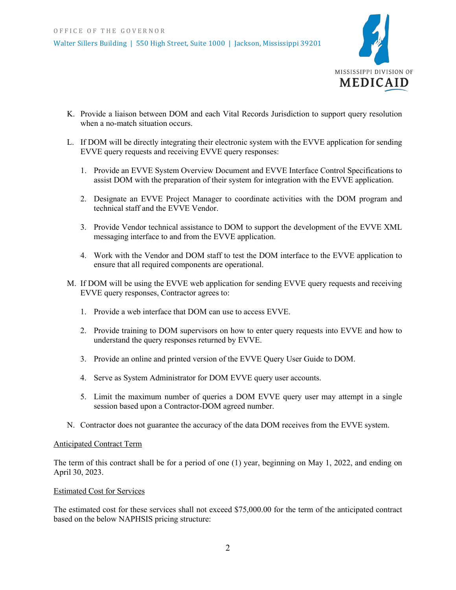

- K. Provide a liaison between DOM and each Vital Records Jurisdiction to support query resolution when a no-match situation occurs.
- L. If DOM will be directly integrating their electronic system with the EVVE application for sending EVVE query requests and receiving EVVE query responses:
	- 1. Provide an EVVE System Overview Document and EVVE Interface Control Specifications to assist DOM with the preparation of their system for integration with the EVVE application.
	- 2. Designate an EVVE Project Manager to coordinate activities with the DOM program and technical staff and the EVVE Vendor.
	- 3. Provide Vendor technical assistance to DOM to support the development of the EVVE XML messaging interface to and from the EVVE application.
	- 4. Work with the Vendor and DOM staff to test the DOM interface to the EVVE application to ensure that all required components are operational.
- M. If DOM will be using the EVVE web application for sending EVVE query requests and receiving EVVE query responses, Contractor agrees to:
	- 1. Provide a web interface that DOM can use to access EVVE.
	- 2. Provide training to DOM supervisors on how to enter query requests into EVVE and how to understand the query responses returned by EVVE.
	- 3. Provide an online and printed version of the EVVE Query User Guide to DOM.
	- 4. Serve as System Administrator for DOM EVVE query user accounts.
	- 5. Limit the maximum number of queries a DOM EVVE query user may attempt in a single session based upon a Contractor-DOM agreed number.
- N. Contractor does not guarantee the accuracy of the data DOM receives from the EVVE system.

## Anticipated Contract Term

The term of this contract shall be for a period of one (1) year, beginning on May 1, 2022, and ending on April 30, 2023.

## Estimated Cost for Services

The estimated cost for these services shall not exceed \$75,000.00 for the term of the anticipated contract based on the below NAPHSIS pricing structure: